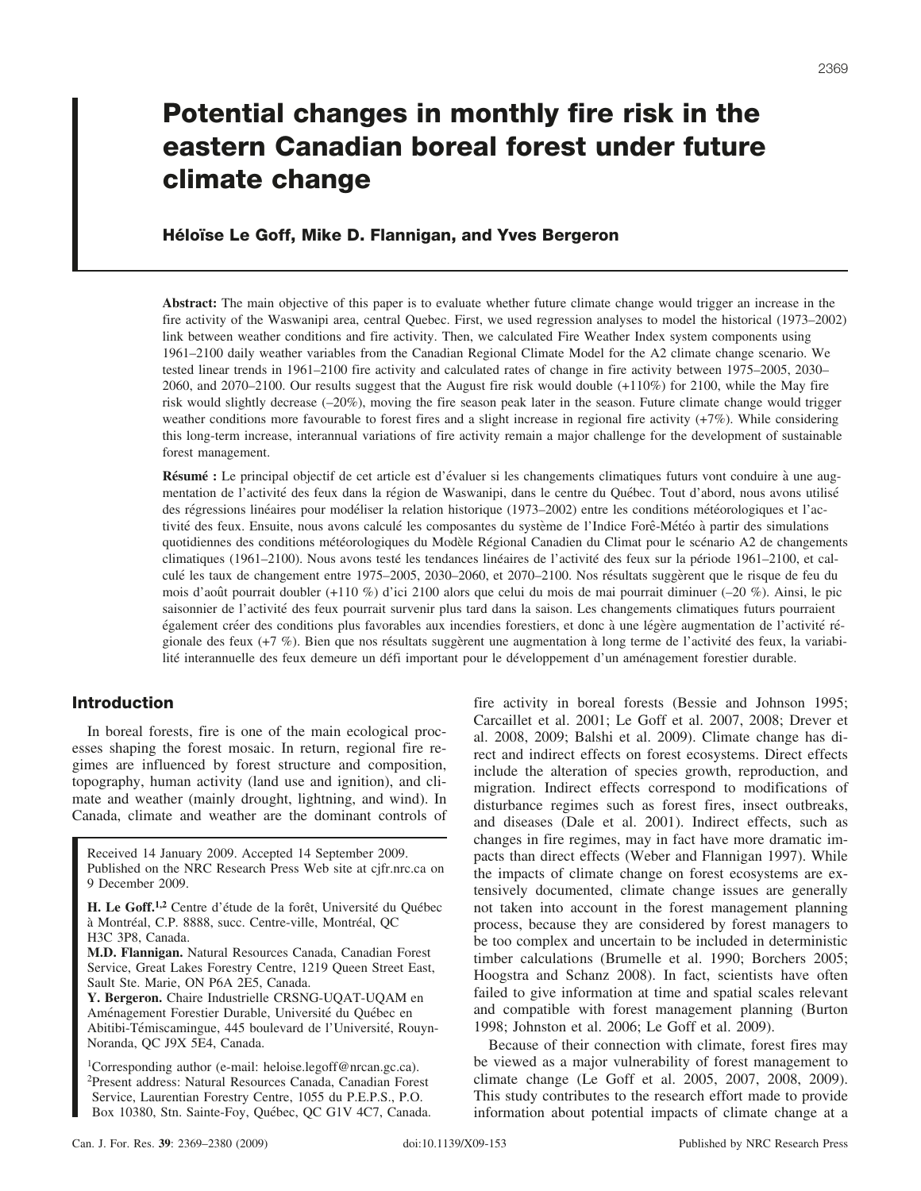# **Potential changes in monthly fire risk in the eastern Canadian boreal forest under future climate change**

# **Héloïse Le Goff, Mike D. Flannigan, and Yves Bergeron**

**Abstract:** The main objective of this paper is to evaluate whether future climate change would trigger an increase in the fire activity of the Waswanipi area, central Quebec. First, we used regression analyses to model the historical (1973–2002) link between weather conditions and fire activity. Then, we calculated Fire Weather Index system components using 1961–2100 daily weather variables from the Canadian Regional Climate Model for the A2 climate change scenario. We tested linear trends in 1961–2100 fire activity and calculated rates of change in fire activity between 1975–2005, 2030– 2060, and 2070–2100. Our results suggest that the August fire risk would double (+110%) for 2100, while the May fire risk would slightly decrease (–20%), moving the fire season peak later in the season. Future climate change would trigger weather conditions more favourable to forest fires and a slight increase in regional fire activity (+7%). While considering this long-term increase, interannual variations of fire activity remain a major challenge for the development of sustainable forest management.

**Résumé** : Le principal objectif de cet article est d'évaluer si les changements climatiques futurs vont conduire à une augmentation de l'activité des feux dans la région de Waswanipi, dans le centre du Québec. Tout d'abord, nous avons utilisé des régressions linéaires pour modéliser la relation historique (1973–2002) entre les conditions météorologiques et l'activité des feux. Ensuite, nous avons calculé les composantes du système de l'Indice Forê-Météo à partir des simulations quotidiennes des conditions météorologiques du Modèle Régional Canadien du Climat pour le scénario A2 de changements climatiques (1961–2100). Nous avons testé les tendances linéaires de l'activité des feux sur la période 1961–2100, et calculé les taux de changement entre 1975–2005, 2030–2060, et 2070–2100. Nos résultats suggèrent que le risque de feu du mois d'août pourrait doubler  $(+110\%)$  d'ici 2100 alors que celui du mois de mai pourrait diminuer  $(-20\%)$ . Ainsi, le pic saisonnier de l'activité des feux pourrait survenir plus tard dans la saison. Les changements climatiques futurs pourraient également créer des conditions plus favorables aux incendies forestiers, et donc à une légère augmentation de l'activité régionale des feux  $(+7, \%)$ . Bien que nos résultats suggèrent une augmentation à long terme de l'activité des feux, la variabilité interannuelle des feux demeure un défi important pour le développement d'un aménagement forestier durable.

# **Introduction**

In boreal forests, fire is one of the main ecological processes shaping the forest mosaic. In return, regional fire regimes are influenced by forest structure and composition, topography, human activity (land use and ignition), and climate and weather (mainly drought, lightning, and wind). In Canada, climate and weather are the dominant controls of

Received 14 January 2009. Accepted 14 September 2009. Published on the NRC Research Press Web site at cjfr.nrc.ca on 9 December 2009.

H. Le Goff.<sup>1,2</sup> Centre d'étude de la forêt, Université du Québec à Montréal, C.P. 8888, succ. Centre-ville, Montréal, QC H3C 3P8, Canada.

**M.D. Flannigan.** Natural Resources Canada, Canadian Forest Service, Great Lakes Forestry Centre, 1219 Queen Street East, Sault Ste. Marie, ON P6A 2E5, Canada.

**Y. Bergeron.** Chaire Industrielle CRSNG-UQAT-UQAM en Aménagement Forestier Durable, Université du Québec en Abitibi-Témiscamingue, 445 boulevard de l'Université, Rouyn-Noranda, QC J9X 5E4, Canada.

<sup>1</sup>Corresponding author (e-mail: heloise.legoff@nrcan.gc.ca). 2Present address: Natural Resources Canada, Canadian Forest Service, Laurentian Forestry Centre, 1055 du P.E.P.S., P.O. Box 10380, Stn. Sainte-Foy, Québec, QC G1V 4C7, Canada. fire activity in boreal forests (Bessie and Johnson 1995; Carcaillet et al. 2001; Le Goff et al. 2007, 2008; Drever et al. 2008, 2009; Balshi et al. 2009). Climate change has direct and indirect effects on forest ecosystems. Direct effects include the alteration of species growth, reproduction, and migration. Indirect effects correspond to modifications of disturbance regimes such as forest fires, insect outbreaks, and diseases (Dale et al. 2001). Indirect effects, such as changes in fire regimes, may in fact have more dramatic impacts than direct effects (Weber and Flannigan 1997). While the impacts of climate change on forest ecosystems are extensively documented, climate change issues are generally not taken into account in the forest management planning process, because they are considered by forest managers to be too complex and uncertain to be included in deterministic timber calculations (Brumelle et al. 1990; Borchers 2005; Hoogstra and Schanz 2008). In fact, scientists have often failed to give information at time and spatial scales relevant and compatible with forest management planning (Burton 1998; Johnston et al. 2006; Le Goff et al. 2009).

Because of their connection with climate, forest fires may be viewed as a major vulnerability of forest management to climate change (Le Goff et al. 2005, 2007, 2008, 2009). This study contributes to the research effort made to provide information about potential impacts of climate change at a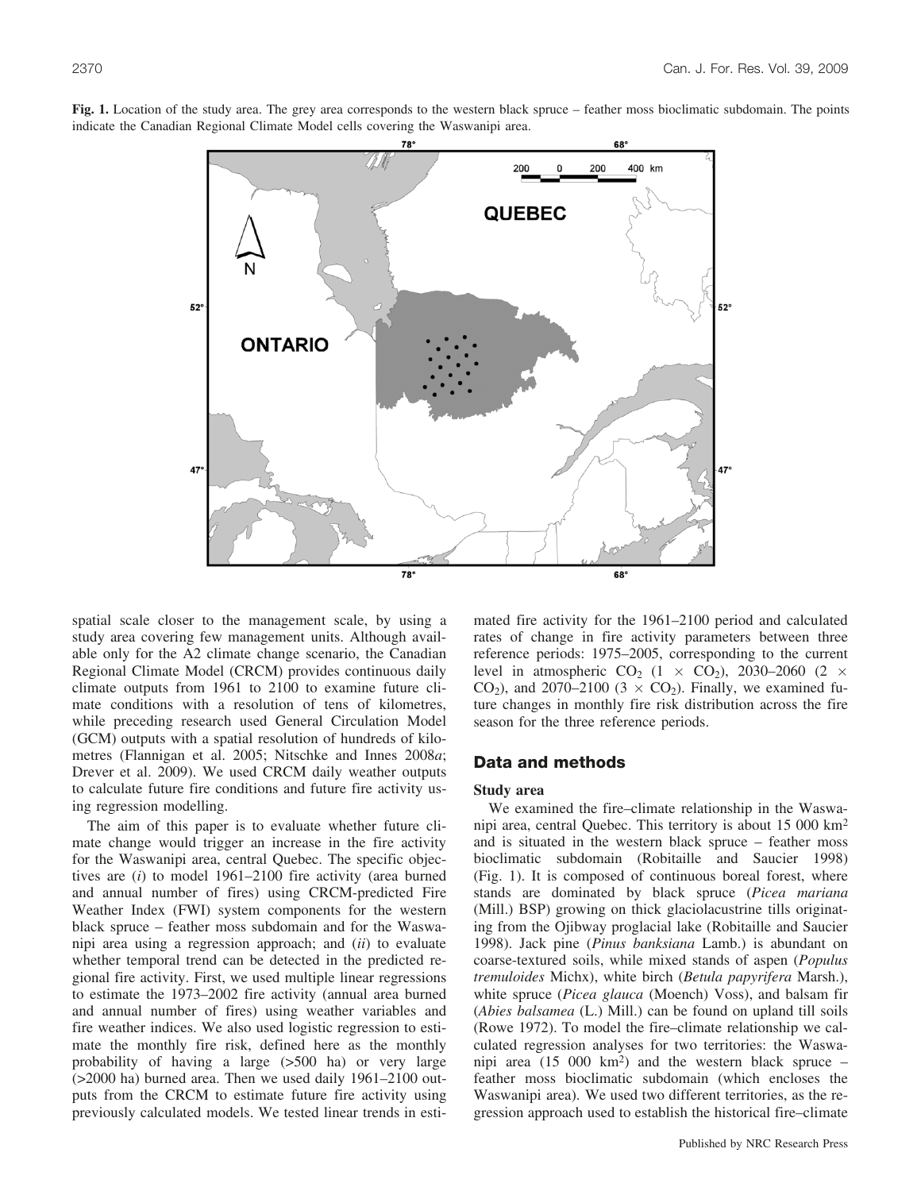

**Fig. 1.** Location of the study area. The grey area corresponds to the western black spruce – feather moss bioclimatic subdomain. The points indicate the Canadian Regional Climate Model cells covering the Waswanipi area.

spatial scale closer to the management scale, by using a study area covering few management units. Although available only for the A2 climate change scenario, the Canadian Regional Climate Model (CRCM) provides continuous daily climate outputs from 1961 to 2100 to examine future climate conditions with a resolution of tens of kilometres, while preceding research used General Circulation Model (GCM) outputs with a spatial resolution of hundreds of kilometres (Flannigan et al. 2005; Nitschke and Innes 2008*a*; Drever et al. 2009). We used CRCM daily weather outputs to calculate future fire conditions and future fire activity using regression modelling.

The aim of this paper is to evaluate whether future climate change would trigger an increase in the fire activity for the Waswanipi area, central Quebec. The specific objectives are (*i*) to model 1961–2100 fire activity (area burned and annual number of fires) using CRCM-predicted Fire Weather Index (FWI) system components for the western black spruce – feather moss subdomain and for the Waswanipi area using a regression approach; and (*ii*) to evaluate whether temporal trend can be detected in the predicted regional fire activity. First, we used multiple linear regressions to estimate the 1973–2002 fire activity (annual area burned and annual number of fires) using weather variables and fire weather indices. We also used logistic regression to estimate the monthly fire risk, defined here as the monthly probability of having a large (>500 ha) or very large (>2000 ha) burned area. Then we used daily 1961–2100 outputs from the CRCM to estimate future fire activity using previously calculated models. We tested linear trends in estimated fire activity for the 1961–2100 period and calculated rates of change in fire activity parameters between three reference periods: 1975–2005, corresponding to the current level in atmospheric  $CO_2$  (1  $\times$   $CO_2$ ), 2030–2060 (2  $\times$ CO<sub>2</sub>), and 2070–2100 ( $3 \times$  CO<sub>2</sub>). Finally, we examined future changes in monthly fire risk distribution across the fire season for the three reference periods.

# **Data and methods**

#### **Study area**

We examined the fire–climate relationship in the Waswanipi area, central Quebec. This territory is about 15 000 km2 and is situated in the western black spruce – feather moss bioclimatic subdomain (Robitaille and Saucier 1998) (Fig. 1). It is composed of continuous boreal forest, where stands are dominated by black spruce (*Picea mariana* (Mill.) BSP) growing on thick glaciolacustrine tills originating from the Ojibway proglacial lake (Robitaille and Saucier 1998). Jack pine (*Pinus banksiana* Lamb.) is abundant on coarse-textured soils, while mixed stands of aspen (*Populus tremuloides* Michx), white birch (*Betula papyrifera* Marsh.), white spruce (*Picea glauca* (Moench) Voss), and balsam fir (*Abies balsamea* (L.) Mill.) can be found on upland till soils (Rowe 1972). To model the fire–climate relationship we calculated regression analyses for two territories: the Waswanipi area  $(15 \ 000 \ km^2)$  and the western black spruce – feather moss bioclimatic subdomain (which encloses the Waswanipi area). We used two different territories, as the regression approach used to establish the historical fire–climate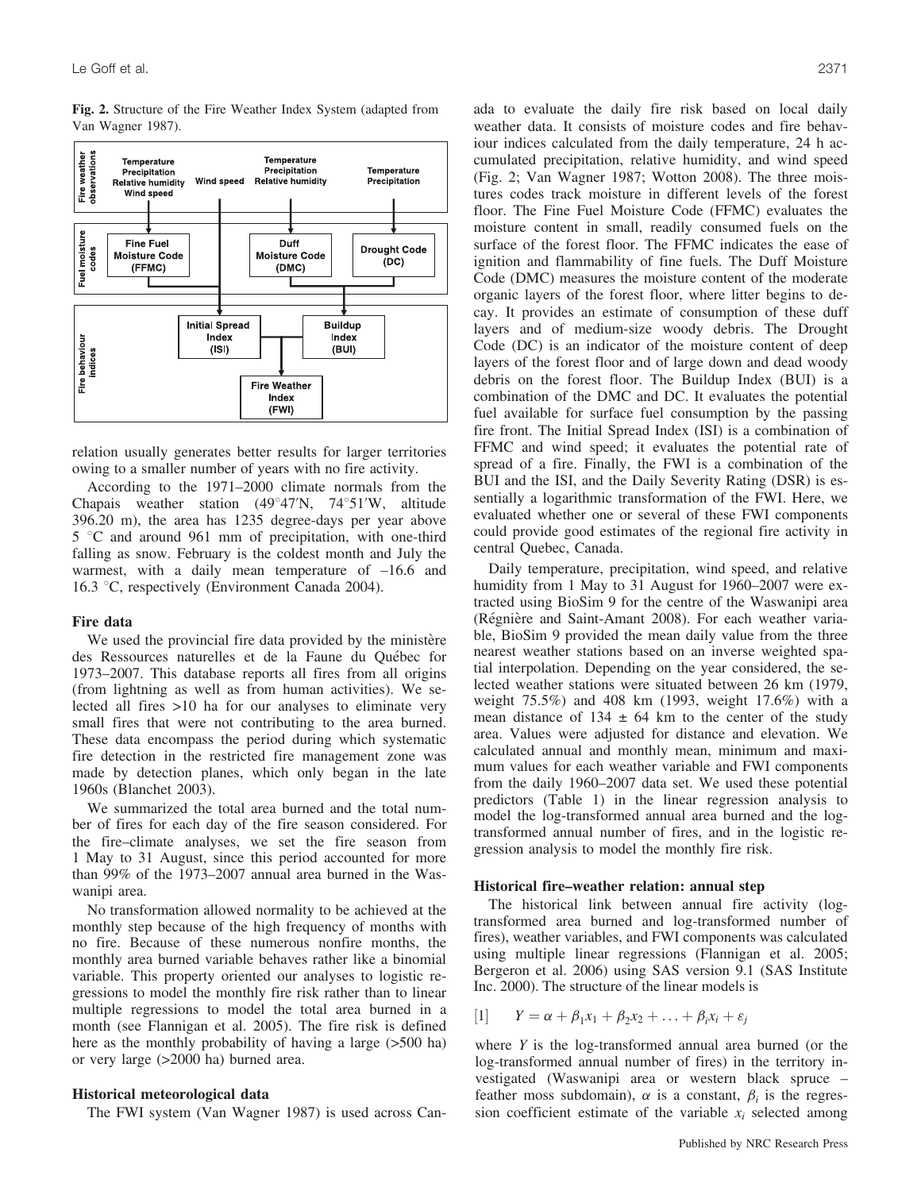

relation usually generates better results for larger territories owing to a smaller number of years with no fire activity.

According to the 1971–2000 climate normals from the Chapais weather station  $(49^{\circ}47'N, 74^{\circ}51'W,$  altitude 396.20 m), the area has 1235 degree-days per year above 5 °C and around 961 mm of precipitation, with one-third falling as snow. February is the coldest month and July the warmest, with a daily mean temperature of –16.6 and 16.3 °C, respectively (Environment Canada 2004).

#### **Fire data**

We used the provincial fire data provided by the ministere des Ressources naturelles et de la Faune du Québec for 1973–2007. This database reports all fires from all origins (from lightning as well as from human activities). We selected all fires >10 ha for our analyses to eliminate very small fires that were not contributing to the area burned. These data encompass the period during which systematic fire detection in the restricted fire management zone was made by detection planes, which only began in the late 1960s (Blanchet 2003).

We summarized the total area burned and the total number of fires for each day of the fire season considered. For the fire–climate analyses, we set the fire season from 1 May to 31 August, since this period accounted for more than 99% of the 1973–2007 annual area burned in the Waswanipi area.

No transformation allowed normality to be achieved at the monthly step because of the high frequency of months with no fire. Because of these numerous nonfire months, the monthly area burned variable behaves rather like a binomial variable. This property oriented our analyses to logistic regressions to model the monthly fire risk rather than to linear multiple regressions to model the total area burned in a month (see Flannigan et al. 2005). The fire risk is defined here as the monthly probability of having a large ( $>500$  ha) or very large (>2000 ha) burned area.

#### **Historical meteorological data**

The FWI system (Van Wagner 1987) is used across Can-

ada to evaluate the daily fire risk based on local daily weather data. It consists of moisture codes and fire behaviour indices calculated from the daily temperature, 24 h accumulated precipitation, relative humidity, and wind speed (Fig. 2; Van Wagner 1987; Wotton 2008). The three moistures codes track moisture in different levels of the forest floor. The Fine Fuel Moisture Code (FFMC) evaluates the moisture content in small, readily consumed fuels on the surface of the forest floor. The FFMC indicates the ease of ignition and flammability of fine fuels. The Duff Moisture Code (DMC) measures the moisture content of the moderate organic layers of the forest floor, where litter begins to decay. It provides an estimate of consumption of these duff layers and of medium-size woody debris. The Drought Code (DC) is an indicator of the moisture content of deep layers of the forest floor and of large down and dead woody debris on the forest floor. The Buildup Index (BUI) is a combination of the DMC and DC. It evaluates the potential fuel available for surface fuel consumption by the passing fire front. The Initial Spread Index (ISI) is a combination of

FFMC and wind speed; it evaluates the potential rate of spread of a fire. Finally, the FWI is a combination of the BUI and the ISI, and the Daily Severity Rating (DSR) is essentially a logarithmic transformation of the FWI. Here, we evaluated whether one or several of these FWI components could provide good estimates of the regional fire activity in central Quebec, Canada.

Daily temperature, precipitation, wind speed, and relative humidity from 1 May to 31 August for 1960–2007 were extracted using BioSim 9 for the centre of the Waswanipi area (Régnière and Saint-Amant 2008). For each weather variable, BioSim 9 provided the mean daily value from the three nearest weather stations based on an inverse weighted spatial interpolation. Depending on the year considered, the selected weather stations were situated between 26 km (1979, weight 75.5%) and 408 km (1993, weight 17.6%) with a mean distance of  $134 \pm 64$  km to the center of the study area. Values were adjusted for distance and elevation. We calculated annual and monthly mean, minimum and maximum values for each weather variable and FWI components from the daily 1960–2007 data set. We used these potential predictors (Table 1) in the linear regression analysis to model the log-transformed annual area burned and the logtransformed annual number of fires, and in the logistic regression analysis to model the monthly fire risk.

## **Historical fire–weather relation: annual step**

The historical link between annual fire activity (logtransformed area burned and log-transformed number of fires), weather variables, and FWI components was calculated using multiple linear regressions (Flannigan et al. 2005; Bergeron et al. 2006) using SAS version 9.1 (SAS Institute Inc. 2000). The structure of the linear models is

$$
[1] \qquad Y = \alpha + \beta_1 x_1 + \beta_2 x_2 + \ldots + \beta_i x_i + \varepsilon_j
$$

where *Y* is the log-transformed annual area burned (or the log-transformed annual number of fires) in the territory investigated (Waswanipi area or western black spruce – feather moss subdomain),  $\alpha$  is a constant,  $\beta_i$  is the regression coefficient estimate of the variable  $x_i$  selected among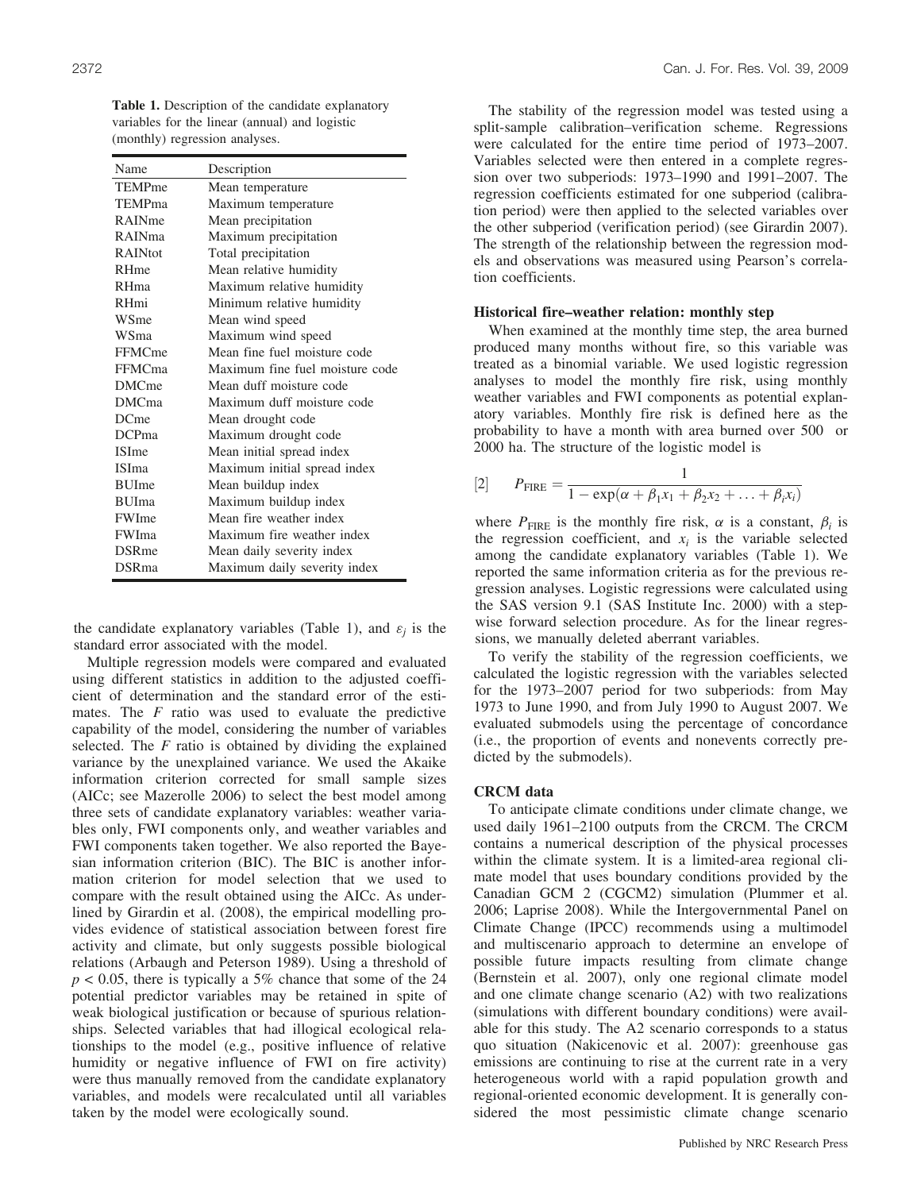**Table 1.** Description of the candidate explanatory variables for the linear (annual) and logistic (monthly) regression analyses.

| Name              | Description                     |  |  |
|-------------------|---------------------------------|--|--|
| TEMPme            | Mean temperature                |  |  |
| <b>TEMPma</b>     | Maximum temperature             |  |  |
| RAINme            | Mean precipitation              |  |  |
| RAINma            | Maximum precipitation           |  |  |
| <b>RAINtot</b>    | Total precipitation             |  |  |
| <b>RH</b> me      | Mean relative humidity          |  |  |
| <b>RH</b> ma      | Maximum relative humidity       |  |  |
| <b>RHmi</b>       | Minimum relative humidity       |  |  |
| WSme              | Mean wind speed                 |  |  |
| WSma              | Maximum wind speed              |  |  |
| <b>FFMCme</b>     | Mean fine fuel moisture code    |  |  |
| <b>FFMCma</b>     | Maximum fine fuel moisture code |  |  |
| DMC <sub>me</sub> | Mean duff moisture code         |  |  |
| <b>DMCma</b>      | Maximum duff moisture code      |  |  |
| <b>DCme</b>       | Mean drought code               |  |  |
| <b>DCPma</b>      | Maximum drought code            |  |  |
| <b>ISIme</b>      | Mean initial spread index       |  |  |
| <b>ISIma</b>      | Maximum initial spread index    |  |  |
| <b>BUIme</b>      | Mean buildup index              |  |  |
| <b>BUIma</b>      | Maximum buildup index           |  |  |
| <b>FWIme</b>      | Mean fire weather index         |  |  |
| <b>FWIma</b>      | Maximum fire weather index      |  |  |
| <b>DSRme</b>      | Mean daily severity index       |  |  |
| <b>DSRma</b>      | Maximum daily severity index    |  |  |

the candidate explanatory variables (Table 1), and  $\varepsilon_j$  is the standard error associated with the model.

Multiple regression models were compared and evaluated using different statistics in addition to the adjusted coefficient of determination and the standard error of the estimates. The *F* ratio was used to evaluate the predictive capability of the model, considering the number of variables selected. The *F* ratio is obtained by dividing the explained variance by the unexplained variance. We used the Akaike information criterion corrected for small sample sizes (AICc; see Mazerolle 2006) to select the best model among three sets of candidate explanatory variables: weather variables only, FWI components only, and weather variables and FWI components taken together. We also reported the Bayesian information criterion (BIC). The BIC is another information criterion for model selection that we used to compare with the result obtained using the AICc. As underlined by Girardin et al. (2008), the empirical modelling provides evidence of statistical association between forest fire activity and climate, but only suggests possible biological relations (Arbaugh and Peterson 1989). Using a threshold of  $p < 0.05$ , there is typically a 5% chance that some of the 24 potential predictor variables may be retained in spite of weak biological justification or because of spurious relationships. Selected variables that had illogical ecological relationships to the model (e.g., positive influence of relative humidity or negative influence of FWI on fire activity) were thus manually removed from the candidate explanatory variables, and models were recalculated until all variables taken by the model were ecologically sound.

The stability of the regression model was tested using a split-sample calibration–verification scheme. Regressions were calculated for the entire time period of 1973–2007. Variables selected were then entered in a complete regression over two subperiods: 1973–1990 and 1991–2007. The regression coefficients estimated for one subperiod (calibration period) were then applied to the selected variables over the other subperiod (verification period) (see Girardin 2007). The strength of the relationship between the regression models and observations was measured using Pearson's correlation coefficients.

## **Historical fire–weather relation: monthly step**

When examined at the monthly time step, the area burned produced many months without fire, so this variable was treated as a binomial variable. We used logistic regression analyses to model the monthly fire risk, using monthly weather variables and FWI components as potential explanatory variables. Monthly fire risk is defined here as the probability to have a month with area burned over 500 or 2000 ha. The structure of the logistic model is

[2] 
$$
P_{\text{FIRE}} = \frac{1}{1 - \exp(\alpha + \beta_1 x_1 + \beta_2 x_2 + \dots + \beta_i x_i)}
$$

where  $P_{\text{FIRE}}$  is the monthly fire risk,  $\alpha$  is a constant,  $\beta_i$  is the regression coefficient, and  $x_i$  is the variable selected among the candidate explanatory variables (Table 1). We reported the same information criteria as for the previous regression analyses. Logistic regressions were calculated using the SAS version 9.1 (SAS Institute Inc. 2000) with a stepwise forward selection procedure. As for the linear regressions, we manually deleted aberrant variables.

To verify the stability of the regression coefficients, we calculated the logistic regression with the variables selected for the 1973–2007 period for two subperiods: from May 1973 to June 1990, and from July 1990 to August 2007. We evaluated submodels using the percentage of concordance (i.e., the proportion of events and nonevents correctly predicted by the submodels).

## **CRCM data**

To anticipate climate conditions under climate change, we used daily 1961–2100 outputs from the CRCM. The CRCM contains a numerical description of the physical processes within the climate system. It is a limited-area regional climate model that uses boundary conditions provided by the Canadian GCM 2 (CGCM2) simulation (Plummer et al. 2006; Laprise 2008). While the Intergovernmental Panel on Climate Change (IPCC) recommends using a multimodel and multiscenario approach to determine an envelope of possible future impacts resulting from climate change (Bernstein et al. 2007), only one regional climate model and one climate change scenario (A2) with two realizations (simulations with different boundary conditions) were available for this study. The A2 scenario corresponds to a status quo situation (Nakicenovic et al. 2007): greenhouse gas emissions are continuing to rise at the current rate in a very heterogeneous world with a rapid population growth and regional-oriented economic development. It is generally considered the most pessimistic climate change scenario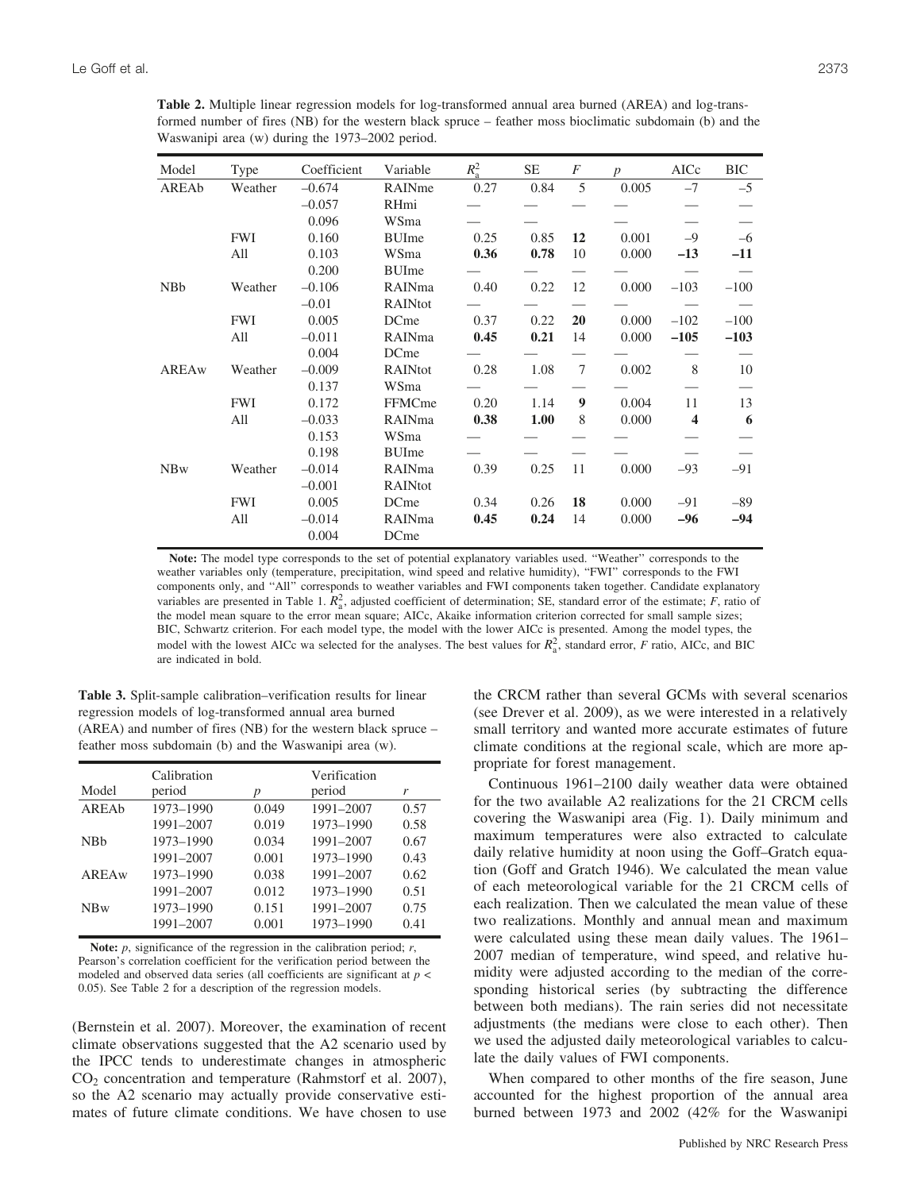| Model      | Type       | Coefficient | Variable       | $R_{\rm a}^2$ | <b>SE</b> | $\overline{F}$ | $\boldsymbol{p}$ | AICc                    | <b>BIC</b> |
|------------|------------|-------------|----------------|---------------|-----------|----------------|------------------|-------------------------|------------|
| AREAb      | Weather    | $-0.674$    | RAINme         | 0.27          | 0.84      | 5              | 0.005            | $-7$                    | $-5$       |
|            |            | $-0.057$    | RHmi           |               |           |                |                  |                         |            |
|            |            | 0.096       | WSma           |               |           |                |                  |                         |            |
|            | <b>FWI</b> | 0.160       | <b>BUIme</b>   | 0.25          | 0.85      | 12             | 0.001            | $-9$                    | $-6$       |
|            | All        | 0.103       | WSma           | 0.36          | 0.78      | 10             | 0.000            | $-13$                   | -11        |
|            |            | 0.200       | <b>BUIme</b>   |               |           |                |                  |                         |            |
| <b>NBb</b> | Weather    | $-0.106$    | RAINma         | 0.40          | 0.22      | 12             | 0.000            | $-103$                  | $-100$     |
|            |            | $-0.01$     | <b>RAINtot</b> |               |           |                |                  |                         |            |
|            | <b>FWI</b> | 0.005       | <b>DCme</b>    | 0.37          | 0.22      | 20             | 0.000            | $-102$                  | $-100$     |
|            | All        | $-0.011$    | RAINma         | 0.45          | 0.21      | 14             | 0.000            | $-105$                  | $-103$     |
|            |            | 0.004       | <b>DCme</b>    |               |           |                |                  |                         |            |
| AREAw      | Weather    | $-0.009$    | RAINtot        | 0.28          | 1.08      | 7              | 0.002            | 8                       | 10         |
|            |            | 0.137       | WSma           |               |           |                |                  |                         |            |
|            | <b>FWI</b> | 0.172       | FFMCme         | 0.20          | 1.14      | 9              | 0.004            | 11                      | 13         |
|            | All        | $-0.033$    | RAINma         | 0.38          | 1.00      | 8              | 0.000            | $\overline{\mathbf{4}}$ | 6          |
|            |            | 0.153       | WSma           |               |           |                |                  |                         |            |
|            |            | 0.198       | <b>BUIme</b>   |               |           |                |                  |                         |            |
| <b>NBw</b> | Weather    | $-0.014$    | RAINma         | 0.39          | 0.25      | 11             | 0.000            | $-93$                   | $-91$      |
|            |            | $-0.001$    | RAINtot        |               |           |                |                  |                         |            |
|            | <b>FWI</b> | 0.005       | <b>DCme</b>    | 0.34          | 0.26      | 18             | 0.000            | $-91$                   | $-89$      |
|            | All        | $-0.014$    | RAINma         | 0.45          | 0.24      | 14             | 0.000            | -96                     | -94        |
|            |            | 0.004       | <b>DCme</b>    |               |           |                |                  |                         |            |

**Table 2.** Multiple linear regression models for log-transformed annual area burned (AREA) and log-transformed number of fires (NB) for the western black spruce – feather moss bioclimatic subdomain (b) and the Waswanipi area (w) during the 1973–2002 period.

**Note:** The model type corresponds to the set of potential explanatory variables used. ''Weather'' corresponds to the weather variables only (temperature, precipitation, wind speed and relative humidity), ''FWI'' corresponds to the FWI components only, and ''All'' corresponds to weather variables and FWI components taken together. Candidate explanatory variables are presented in Table 1.  $R_a^2$ , adjusted coefficient of determination; SE, standard error of the estimate; *F*, ratio of the model mean square to the error mean square; AICc, Akaike information criterion corrected for small sample sizes; BIC, Schwartz criterion. For each model type, the model with the lower AICc is presented. Among the model types, the model with the lowest AICc wa selected for the analyses. The best values for  $R_a^2$ , standard error, *F* ratio, AICc, and BIC are indicated in bold.

**Table 3.** Split-sample calibration–verification results for linear regression models of log-transformed annual area burned (AREA) and number of fires (NB) for the western black spruce – feather moss subdomain (b) and the Waswanipi area (w).

| Model      | Calibration<br>period | р     | Verification<br>period | r    |
|------------|-----------------------|-------|------------------------|------|
| AREAb      | 1973-1990             | 0.049 | 1991-2007              | 0.57 |
|            | 1991-2007             | 0.019 | 1973-1990              | 0.58 |
| <b>NBb</b> | 1973-1990             | 0.034 | 1991-2007              | 0.67 |
|            | 1991-2007             | 0.001 | 1973-1990              | 0.43 |
| AREAw      | 1973-1990             | 0.038 | 1991-2007              | 0.62 |
|            | 1991-2007             | 0.012 | 1973-1990              | 0.51 |
| <b>NBw</b> | 1973-1990             | 0.151 | 1991-2007              | 0.75 |
|            | 1991-2007             | 0.001 | 1973–1990              | 0.41 |

**Note:** *p*, significance of the regression in the calibration period; *r*, Pearson's correlation coefficient for the verification period between the modeled and observed data series (all coefficients are significant at *p* < 0.05). See Table 2 for a description of the regression models.

(Bernstein et al. 2007). Moreover, the examination of recent climate observations suggested that the A2 scenario used by the IPCC tends to underestimate changes in atmospheric  $CO<sub>2</sub>$  concentration and temperature (Rahmstorf et al. 2007), so the A2 scenario may actually provide conservative estimates of future climate conditions. We have chosen to use the CRCM rather than several GCMs with several scenarios (see Drever et al. 2009), as we were interested in a relatively small territory and wanted more accurate estimates of future climate conditions at the regional scale, which are more appropriate for forest management.

Continuous 1961–2100 daily weather data were obtained for the two available A2 realizations for the 21 CRCM cells covering the Waswanipi area (Fig. 1). Daily minimum and maximum temperatures were also extracted to calculate daily relative humidity at noon using the Goff–Gratch equation (Goff and Gratch 1946). We calculated the mean value of each meteorological variable for the 21 CRCM cells of each realization. Then we calculated the mean value of these two realizations. Monthly and annual mean and maximum were calculated using these mean daily values. The 1961– 2007 median of temperature, wind speed, and relative humidity were adjusted according to the median of the corresponding historical series (by subtracting the difference between both medians). The rain series did not necessitate adjustments (the medians were close to each other). Then we used the adjusted daily meteorological variables to calculate the daily values of FWI components.

When compared to other months of the fire season, June accounted for the highest proportion of the annual area burned between 1973 and 2002 (42% for the Waswanipi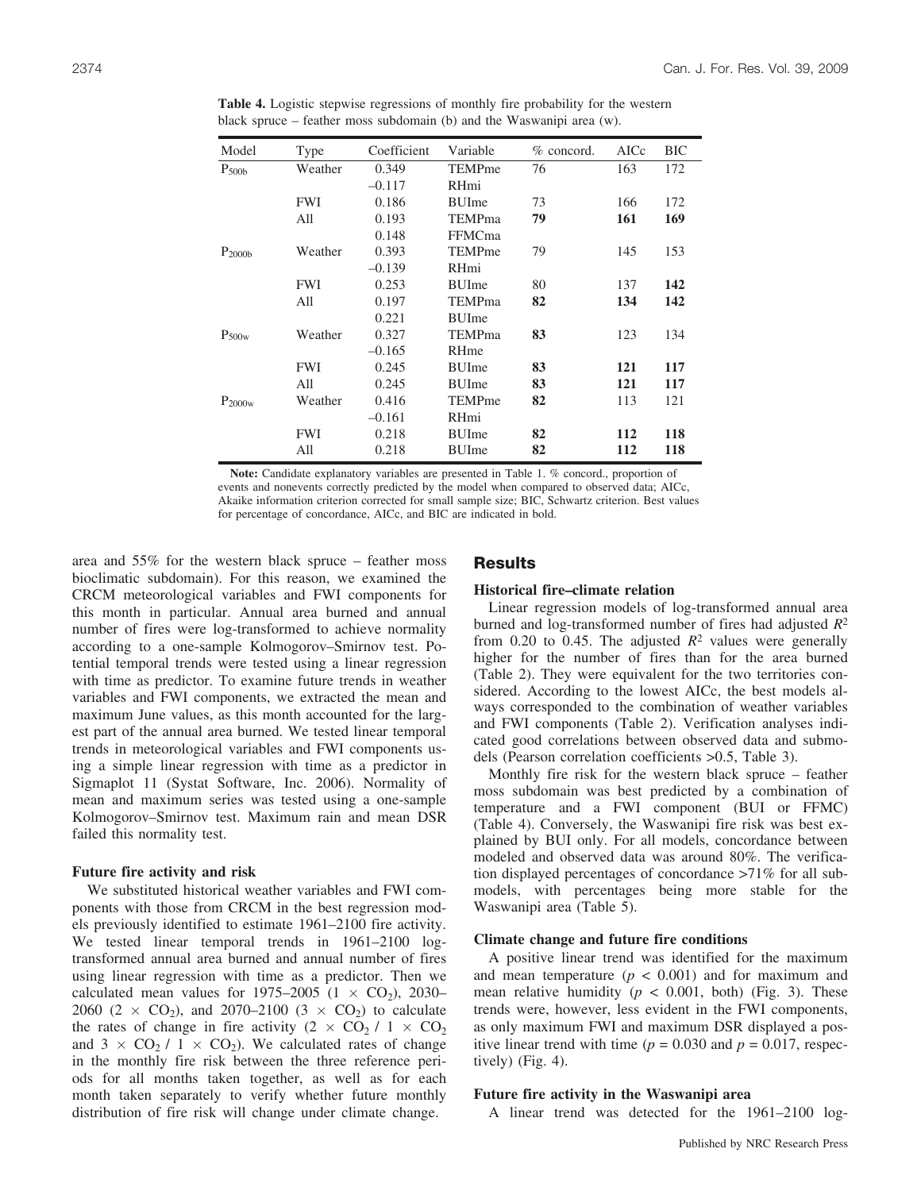| Model       | Type       | Coefficient | Variable      | $\%$ concord. | AICc | BIC |
|-------------|------------|-------------|---------------|---------------|------|-----|
| $P_{500b}$  | Weather    | 0.349       | <b>TEMPme</b> | 76            | 163  | 172 |
|             |            | $-0.117$    | RHmi          |               |      |     |
|             | <b>FWI</b> | 0.186       | <b>BUIme</b>  | 73            | 166  | 172 |
|             | All        | 0.193       | <b>TEMPma</b> | 79            | 161  | 169 |
|             |            | 0.148       | <b>FFMCma</b> |               |      |     |
| $P_{2000b}$ | Weather    | 0.393       | <b>TEMPme</b> | 79            | 145  | 153 |
|             |            | $-0.139$    | RHmi          |               |      |     |
|             | <b>FWI</b> | 0.253       | <b>BUIme</b>  | 80            | 137  | 142 |
|             | All        | 0.197       | <b>TEMPma</b> | 82            | 134  | 142 |
|             |            | 0.221       | <b>BUIme</b>  |               |      |     |
| $P_{500w}$  | Weather    | 0.327       | TEMPma        | 83            | 123  | 134 |
|             |            | $-0.165$    | RHme          |               |      |     |
|             | <b>FWI</b> | 0.245       | <b>BUIme</b>  | 83            | 121  | 117 |
|             | All        | 0.245       | <b>BUIme</b>  | 83            | 121  | 117 |
| $P_{2000w}$ | Weather    | 0.416       | TEMPme        | 82            | 113  | 121 |
|             |            | $-0.161$    | RHmi          |               |      |     |
|             | <b>FWI</b> | 0.218       | <b>BUIme</b>  | 82            | 112  | 118 |
|             | All        | 0.218       | <b>BUIme</b>  | 82            | 112  | 118 |

**Table 4.** Logistic stepwise regressions of monthly fire probability for the western black spruce – feather moss subdomain (b) and the Waswanipi area (w).

**Note:** Candidate explanatory variables are presented in Table 1. % concord., proportion of events and nonevents correctly predicted by the model when compared to observed data; AICc, Akaike information criterion corrected for small sample size; BIC, Schwartz criterion. Best values for percentage of concordance, AICc, and BIC are indicated in bold.

area and 55% for the western black spruce – feather moss bioclimatic subdomain). For this reason, we examined the CRCM meteorological variables and FWI components for this month in particular. Annual area burned and annual number of fires were log-transformed to achieve normality according to a one-sample Kolmogorov–Smirnov test. Potential temporal trends were tested using a linear regression with time as predictor. To examine future trends in weather variables and FWI components, we extracted the mean and maximum June values, as this month accounted for the largest part of the annual area burned. We tested linear temporal trends in meteorological variables and FWI components using a simple linear regression with time as a predictor in Sigmaplot 11 (Systat Software, Inc. 2006). Normality of mean and maximum series was tested using a one-sample Kolmogorov–Smirnov test. Maximum rain and mean DSR failed this normality test.

## **Future fire activity and risk**

We substituted historical weather variables and FWI components with those from CRCM in the best regression models previously identified to estimate 1961–2100 fire activity. We tested linear temporal trends in 1961–2100 logtransformed annual area burned and annual number of fires using linear regression with time as a predictor. Then we calculated mean values for  $1975-2005$   $(1 \times CO_2)$ ,  $2030-$ 2060 (2  $\times$  CO<sub>2</sub>), and 2070–2100 (3  $\times$  CO<sub>2</sub>) to calculate the rates of change in fire activity  $(2 \times CO_2 / 1 \times CO_2)$ and  $3 \times CO_2 / 1 \times CO_2$ ). We calculated rates of change in the monthly fire risk between the three reference periods for all months taken together, as well as for each month taken separately to verify whether future monthly distribution of fire risk will change under climate change.

## **Results**

#### **Historical fire–climate relation**

Linear regression models of log-transformed annual area burned and log-transformed number of fires had adjusted *R*<sup>2</sup> from 0.20 to 0.45. The adjusted  $R^2$  values were generally higher for the number of fires than for the area burned (Table 2). They were equivalent for the two territories considered. According to the lowest AICc, the best models always corresponded to the combination of weather variables and FWI components (Table 2). Verification analyses indicated good correlations between observed data and submodels (Pearson correlation coefficients >0.5, Table 3).

Monthly fire risk for the western black spruce – feather moss subdomain was best predicted by a combination of temperature and a FWI component (BUI or FFMC) (Table 4). Conversely, the Waswanipi fire risk was best explained by BUI only. For all models, concordance between modeled and observed data was around 80%. The verification displayed percentages of concordance >71% for all submodels, with percentages being more stable for the Waswanipi area (Table 5).

## **Climate change and future fire conditions**

A positive linear trend was identified for the maximum and mean temperature  $(p < 0.001)$  and for maximum and mean relative humidity  $(p < 0.001, \text{ both})$  (Fig. 3). These trends were, however, less evident in the FWI components, as only maximum FWI and maximum DSR displayed a positive linear trend with time ( $p = 0.030$  and  $p = 0.017$ , respectively) (Fig. 4).

#### **Future fire activity in the Waswanipi area**

A linear trend was detected for the 1961–2100 log-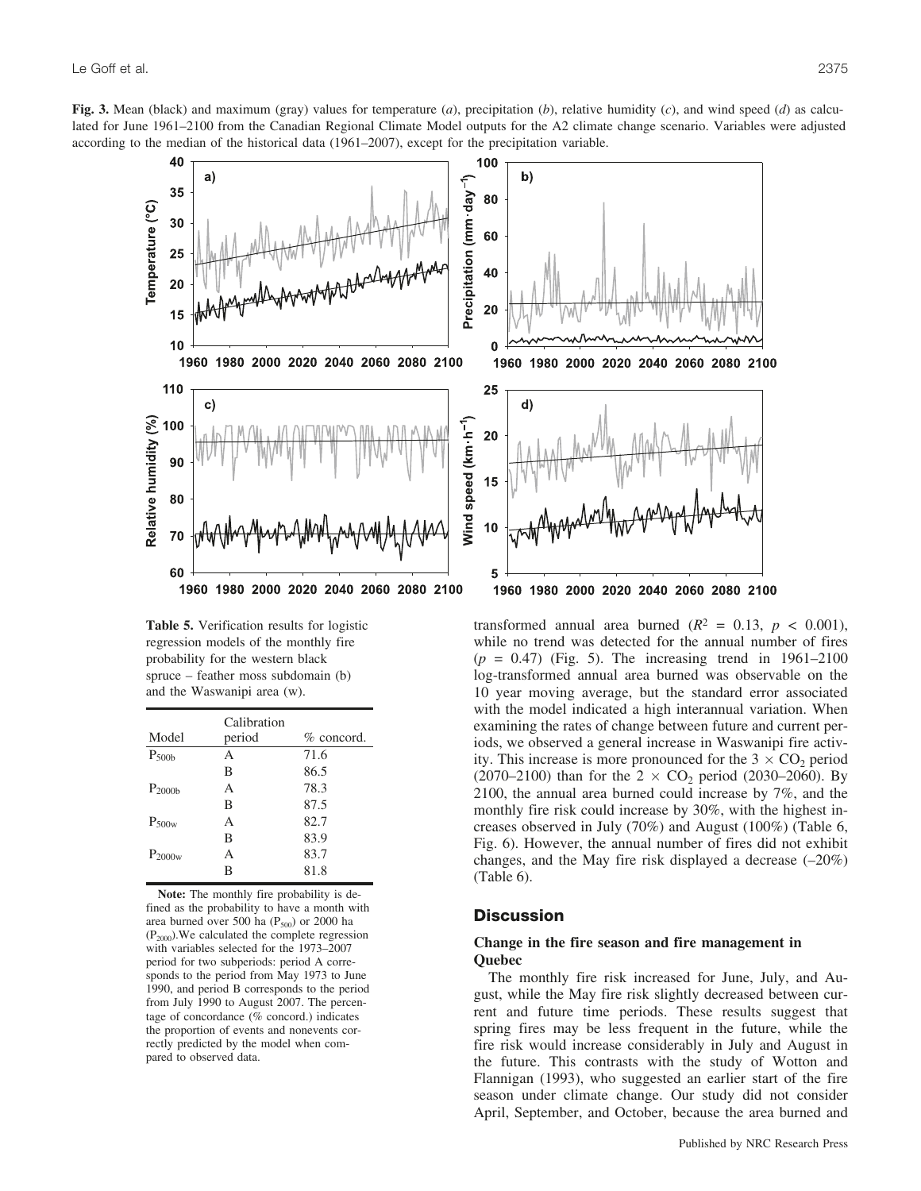**Fig. 3.** Mean (black) and maximum (gray) values for temperature (*a*), precipitation (*b*), relative humidity (*c*), and wind speed (*d*) as calculated for June 1961–2100 from the Canadian Regional Climate Model outputs for the A2 climate change scenario. Variables were adjusted according to the median of the historical data (1961–2007), except for the precipitation variable.



**Table 5.** Verification results for logistic regression models of the monthly fire probability for the western black spruce – feather moss subdomain (b) and the Waswanipi area (w).

| Model       | Calibration<br>period | $\%$ concord. |
|-------------|-----------------------|---------------|
| $P_{500b}$  | A                     | 71.6          |
|             | В                     | 86.5          |
| $P_{2000h}$ | A                     | 78.3          |
|             | B                     | 87.5          |
| $P_{500w}$  | A                     | 82.7          |
|             | B                     | 83.9          |
| $P_{2000w}$ | A                     | 83.7          |
|             | в                     | 81.8          |

**Note:** The monthly fire probability is defined as the probability to have a month with area burned over 500 ha  $(P_{500})$  or 2000 ha  $(P_{2000})$ . We calculated the complete regression with variables selected for the 1973–2007 period for two subperiods: period A corresponds to the period from May 1973 to June 1990, and period B corresponds to the period from July 1990 to August 2007. The percentage of concordance (% concord.) indicates the proportion of events and nonevents correctly predicted by the model when compared to observed data.

transformed annual area burned  $(R^2 = 0.13, p < 0.001)$ , while no trend was detected for the annual number of fires (*p* = 0.47) (Fig. 5). The increasing trend in 1961–2100 log-transformed annual area burned was observable on the 10 year moving average, but the standard error associated with the model indicated a high interannual variation. When examining the rates of change between future and current periods, we observed a general increase in Waswanipi fire activity. This increase is more pronounced for the  $3 \times CO_2$  period (2070–2100) than for the  $2 \times CO_2$  period (2030–2060). By 2100, the annual area burned could increase by 7%, and the monthly fire risk could increase by 30%, with the highest increases observed in July (70%) and August (100%) (Table 6, Fig. 6). However, the annual number of fires did not exhibit changes, and the May fire risk displayed a decrease (–20%) (Table 6).

# **Discussion**

## **Change in the fire season and fire management in Quebec**

The monthly fire risk increased for June, July, and August, while the May fire risk slightly decreased between current and future time periods. These results suggest that spring fires may be less frequent in the future, while the fire risk would increase considerably in July and August in the future. This contrasts with the study of Wotton and Flannigan (1993), who suggested an earlier start of the fire season under climate change. Our study did not consider April, September, and October, because the area burned and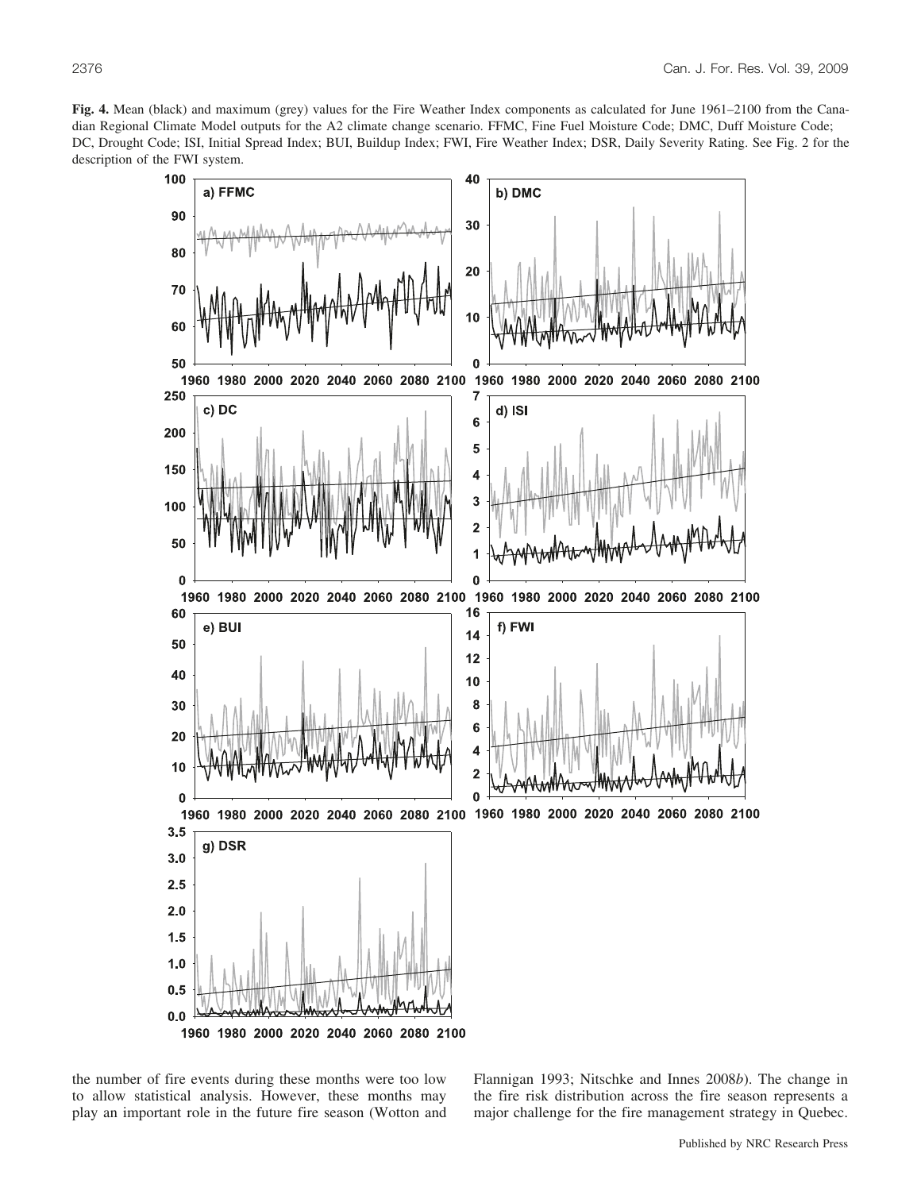**Fig. 4.** Mean (black) and maximum (grey) values for the Fire Weather Index components as calculated for June 1961–2100 from the Canadian Regional Climate Model outputs for the A2 climate change scenario. FFMC, Fine Fuel Moisture Code; DMC, Duff Moisture Code; DC, Drought Code; ISI, Initial Spread Index; BUI, Buildup Index; FWI, Fire Weather Index; DSR, Daily Severity Rating. See Fig. 2 for the description of the FWI system.



the number of fire events during these months were too low to allow statistical analysis. However, these months may play an important role in the future fire season (Wotton and Flannigan 1993; Nitschke and Innes 2008*b*). The change in the fire risk distribution across the fire season represents a major challenge for the fire management strategy in Quebec.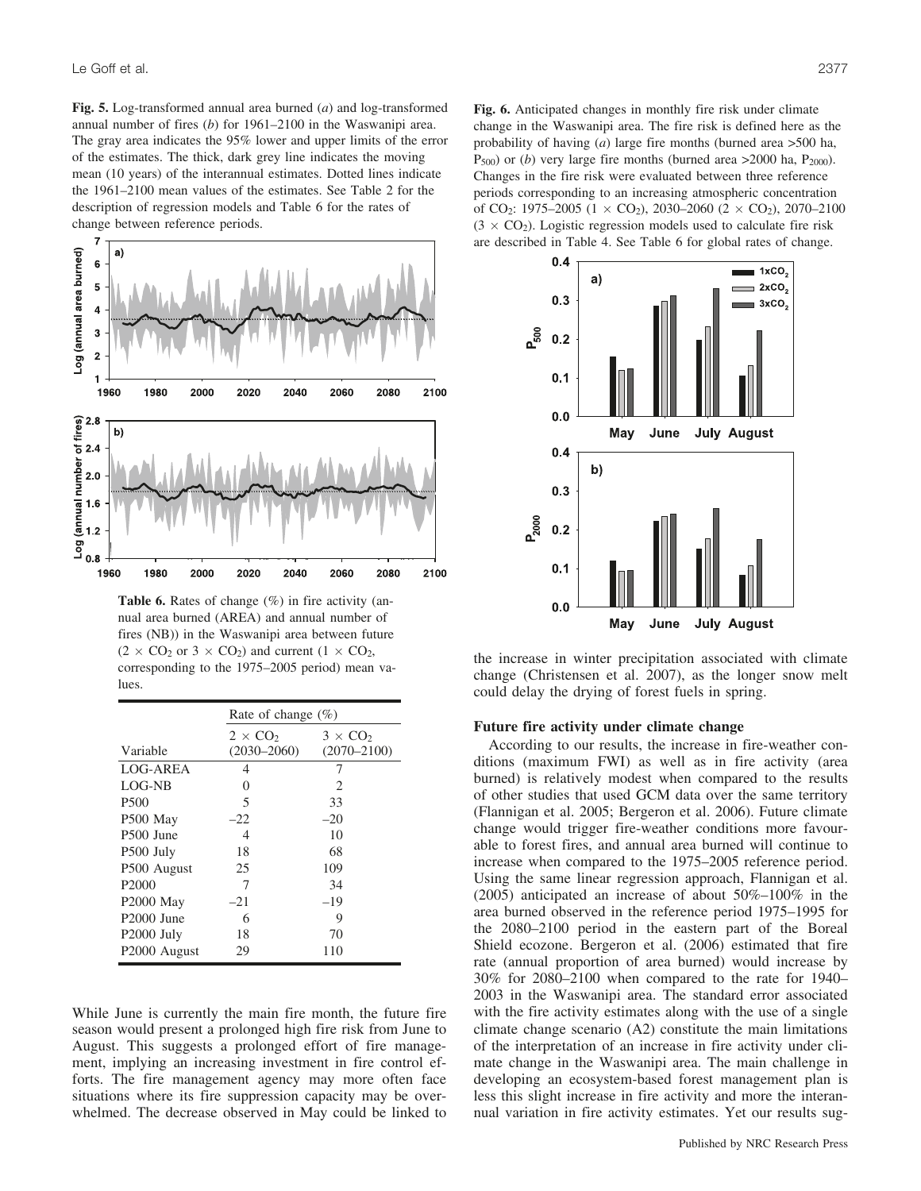**Fig. 5.** Log-transformed annual area burned (*a*) and log-transformed annual number of fires (*b*) for 1961–2100 in the Waswanipi area. The gray area indicates the 95% lower and upper limits of the error of the estimates. The thick, dark grey line indicates the moving mean (10 years) of the interannual estimates. Dotted lines indicate the 1961–2100 mean values of the estimates. See Table 2 for the description of regression models and Table 6 for the rates of change between reference periods.



**Table 6.** Rates of change (%) in fire activity (annual area burned (AREA) and annual number of fires (NB)) in the Waswanipi area between future  $(2 \times CO_2 \text{ or } 3 \times CO_2)$  and current  $(1 \times CO_2)$ , corresponding to the 1975–2005 period) mean values.

|                          | Rate of change $(\%)$             |                                   |  |  |
|--------------------------|-----------------------------------|-----------------------------------|--|--|
| Variable                 | $2 \times CO2$<br>$(2030 - 2060)$ | $3 \times CO2$<br>$(2070 - 2100)$ |  |  |
| LOG-AREA                 | 4                                 | 7                                 |  |  |
| LOG-NB                   | 0                                 | 2                                 |  |  |
| P <sub>500</sub>         | 5                                 | 33                                |  |  |
| P <sub>500</sub> May     | $-22$                             | $-20$                             |  |  |
| P <sub>500</sub> June    | 4                                 | 10                                |  |  |
| P500 July                | 18                                | 68                                |  |  |
| P500 August              | 25                                | 109                               |  |  |
| P <sub>2000</sub>        | 7                                 | 34                                |  |  |
| P2000 May                | $-21$                             | $-19$                             |  |  |
| P <sub>2000</sub> June   | 6                                 | 9                                 |  |  |
| P <sub>2000</sub> July   | 18                                | 70                                |  |  |
| P <sub>2000</sub> August | 29                                | 110                               |  |  |

While June is currently the main fire month, the future fire season would present a prolonged high fire risk from June to August. This suggests a prolonged effort of fire management, implying an increasing investment in fire control efforts. The fire management agency may more often face situations where its fire suppression capacity may be overwhelmed. The decrease observed in May could be linked to

**Fig. 6.** Anticipated changes in monthly fire risk under climate change in the Waswanipi area. The fire risk is defined here as the probability of having (*a*) large fire months (burned area >500 ha,  $P_{500}$ ) or (*b*) very large fire months (burned area >2000 ha,  $P_{2000}$ ). Changes in the fire risk were evaluated between three reference periods corresponding to an increasing atmospheric concentration of CO<sub>2</sub>: 1975–2005 ( $1 \times$  CO<sub>2</sub>), 2030–2060 ( $2 \times$  CO<sub>2</sub>), 2070–2100  $(3 \times CO<sub>2</sub>)$ . Logistic regression models used to calculate fire risk are described in Table 4. See Table 6 for global rates of change.



the increase in winter precipitation associated with climate change (Christensen et al. 2007), as the longer snow melt could delay the drying of forest fuels in spring.

# **Future fire activity under climate change**

According to our results, the increase in fire-weather conditions (maximum FWI) as well as in fire activity (area burned) is relatively modest when compared to the results of other studies that used GCM data over the same territory (Flannigan et al. 2005; Bergeron et al. 2006). Future climate change would trigger fire-weather conditions more favourable to forest fires, and annual area burned will continue to increase when compared to the 1975–2005 reference period. Using the same linear regression approach, Flannigan et al. (2005) anticipated an increase of about 50%–100% in the area burned observed in the reference period 1975–1995 for the 2080–2100 period in the eastern part of the Boreal Shield ecozone. Bergeron et al. (2006) estimated that fire rate (annual proportion of area burned) would increase by 30% for 2080–2100 when compared to the rate for 1940– 2003 in the Waswanipi area. The standard error associated with the fire activity estimates along with the use of a single climate change scenario (A2) constitute the main limitations of the interpretation of an increase in fire activity under climate change in the Waswanipi area. The main challenge in developing an ecosystem-based forest management plan is less this slight increase in fire activity and more the interannual variation in fire activity estimates. Yet our results sug-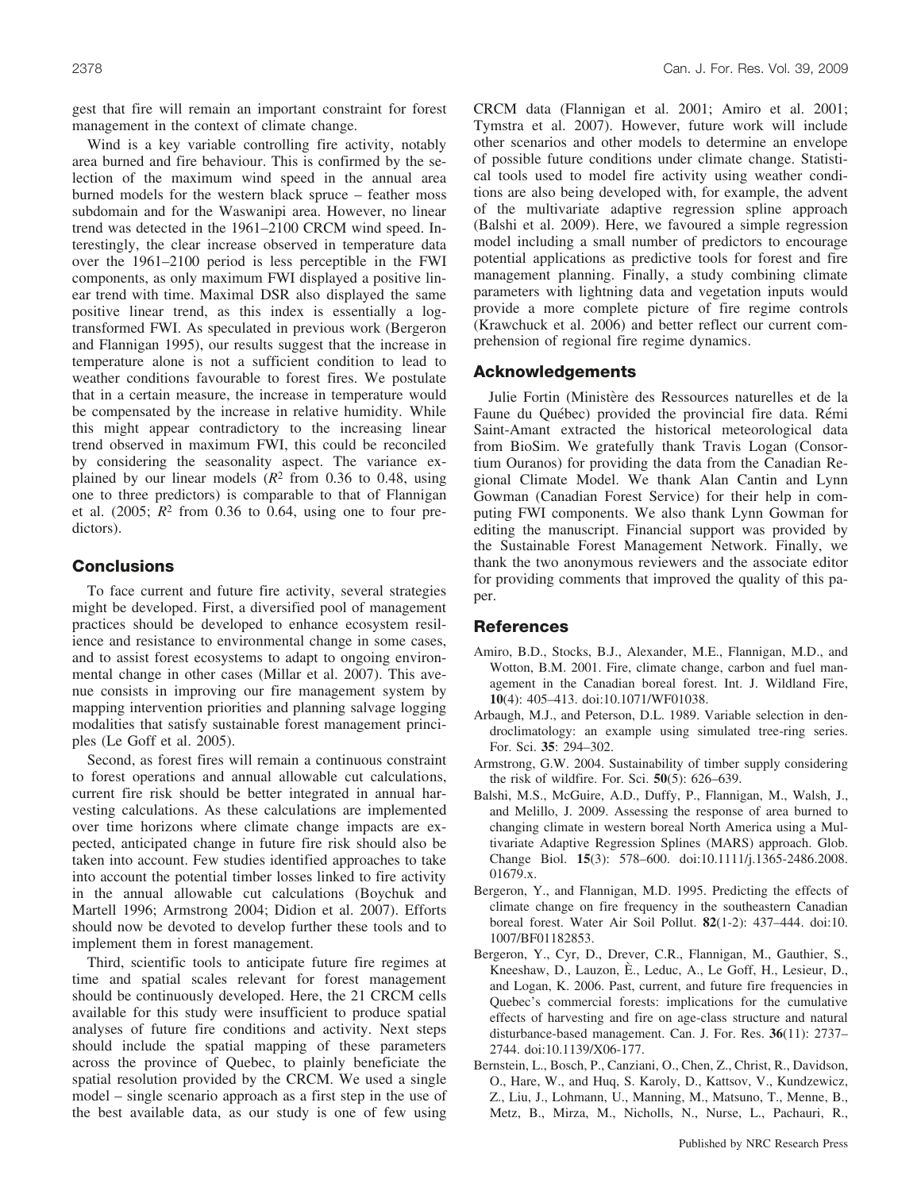Wind is a key variable controlling fire activity, notably area burned and fire behaviour. This is confirmed by the selection of the maximum wind speed in the annual area burned models for the western black spruce – feather moss subdomain and for the Waswanipi area. However, no linear trend was detected in the 1961–2100 CRCM wind speed. Interestingly, the clear increase observed in temperature data over the 1961–2100 period is less perceptible in the FWI components, as only maximum FWI displayed a positive linear trend with time. Maximal DSR also displayed the same positive linear trend, as this index is essentially a logtransformed FWI. As speculated in previous work (Bergeron and Flannigan 1995), our results suggest that the increase in temperature alone is not a sufficient condition to lead to weather conditions favourable to forest fires. We postulate that in a certain measure, the increase in temperature would be compensated by the increase in relative humidity. While this might appear contradictory to the increasing linear trend observed in maximum FWI, this could be reconciled by considering the seasonality aspect. The variance explained by our linear models (*R*<sup>2</sup> from 0.36 to 0.48, using one to three predictors) is comparable to that of Flannigan et al.  $(2005; R<sup>2</sup>$  from 0.36 to 0.64, using one to four predictors).

# **Conclusions**

To face current and future fire activity, several strategies might be developed. First, a diversified pool of management practices should be developed to enhance ecosystem resilience and resistance to environmental change in some cases, and to assist forest ecosystems to adapt to ongoing environmental change in other cases (Millar et al. 2007). This avenue consists in improving our fire management system by mapping intervention priorities and planning salvage logging modalities that satisfy sustainable forest management principles (Le Goff et al. 2005).

Second, as forest fires will remain a continuous constraint to forest operations and annual allowable cut calculations, current fire risk should be better integrated in annual harvesting calculations. As these calculations are implemented over time horizons where climate change impacts are expected, anticipated change in future fire risk should also be taken into account. Few studies identified approaches to take into account the potential timber losses linked to fire activity in the annual allowable cut calculations (Boychuk and Martell 1996; Armstrong 2004; Didion et al. 2007). Efforts should now be devoted to develop further these tools and to implement them in forest management.

Third, scientific tools to anticipate future fire regimes at time and spatial scales relevant for forest management should be continuously developed. Here, the 21 CRCM cells available for this study were insufficient to produce spatial analyses of future fire conditions and activity. Next steps should include the spatial mapping of these parameters across the province of Quebec, to plainly beneficiate the spatial resolution provided by the CRCM. We used a single model – single scenario approach as a first step in the use of the best available data, as our study is one of few using CRCM data (Flannigan et al. 2001; Amiro et al. 2001; Tymstra et al. 2007). However, future work will include other scenarios and other models to determine an envelope of possible future conditions under climate change. Statistical tools used to model fire activity using weather conditions are also being developed with, for example, the advent of the multivariate adaptive regression spline approach (Balshi et al. 2009). Here, we favoured a simple regression model including a small number of predictors to encourage potential applications as predictive tools for forest and fire management planning. Finally, a study combining climate parameters with lightning data and vegetation inputs would provide a more complete picture of fire regime controls (Krawchuck et al. 2006) and better reflect our current comprehension of regional fire regime dynamics.

# **Acknowledgements**

Julie Fortin (Ministère des Ressources naturelles et de la Faune du Québec) provided the provincial fire data. Rémi Saint-Amant extracted the historical meteorological data from BioSim. We gratefully thank Travis Logan (Consortium Ouranos) for providing the data from the Canadian Regional Climate Model. We thank Alan Cantin and Lynn Gowman (Canadian Forest Service) for their help in computing FWI components. We also thank Lynn Gowman for editing the manuscript. Financial support was provided by the Sustainable Forest Management Network. Finally, we thank the two anonymous reviewers and the associate editor for providing comments that improved the quality of this paper.

# **References**

- Amiro, B.D., Stocks, B.J., Alexander, M.E., Flannigan, M.D., and Wotton, B.M. 2001. Fire, climate change, carbon and fuel management in the Canadian boreal forest. Int. J. Wildland Fire, **10**(4): 405–413. doi:10.1071/WF01038.
- Arbaugh, M.J., and Peterson, D.L. 1989. Variable selection in dendroclimatology: an example using simulated tree-ring series. For. Sci. **35**: 294–302.
- Armstrong, G.W. 2004. Sustainability of timber supply considering the risk of wildfire. For. Sci. **50**(5): 626–639.
- Balshi, M.S., McGuire, A.D., Duffy, P., Flannigan, M., Walsh, J., and Melillo, J. 2009. Assessing the response of area burned to changing climate in western boreal North America using a Multivariate Adaptive Regression Splines (MARS) approach. Glob. Change Biol. **15**(3): 578–600. doi:10.1111/j.1365-2486.2008. 01679.x.
- Bergeron, Y., and Flannigan, M.D. 1995. Predicting the effects of climate change on fire frequency in the southeastern Canadian boreal forest. Water Air Soil Pollut. **82**(1-2): 437–444. doi:10. 1007/BF01182853.
- Bergeron, Y., Cyr, D., Drever, C.R., Flannigan, M., Gauthier, S., Kneeshaw, D., Lauzon, È., Leduc, A., Le Goff, H., Lesieur, D., and Logan, K. 2006. Past, current, and future fire frequencies in Quebec's commercial forests: implications for the cumulative effects of harvesting and fire on age-class structure and natural disturbance-based management. Can. J. For. Res. **36**(11): 2737– 2744. doi:10.1139/X06-177.
- Bernstein, L., Bosch, P., Canziani, O., Chen, Z., Christ, R., Davidson, O., Hare, W., and Huq, S. Karoly, D., Kattsov, V., Kundzewicz, Z., Liu, J., Lohmann, U., Manning, M., Matsuno, T., Menne, B., Metz, B., Mirza, M., Nicholls, N., Nurse, L., Pachauri, R.,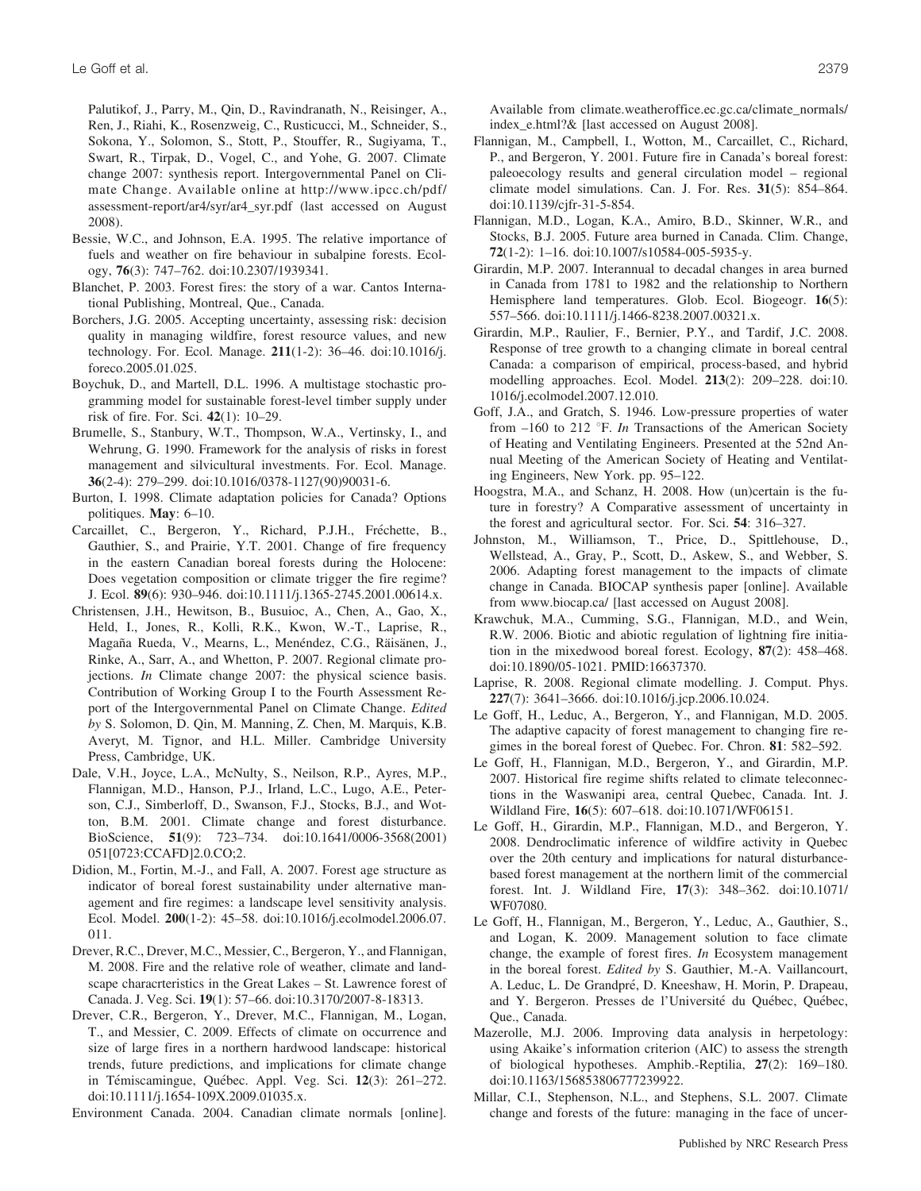Palutikof, J., Parry, M., Qin, D., Ravindranath, N., Reisinger, A., Ren, J., Riahi, K., Rosenzweig, C., Rusticucci, M., Schneider, S., Sokona, Y., Solomon, S., Stott, P., Stouffer, R., Sugiyama, T., Swart, R., Tirpak, D., Vogel, C., and Yohe, G. 2007. Climate change 2007: synthesis report. Intergovernmental Panel on Climate Change. Available online at http://www.ipcc.ch/pdf/ assessment-report/ar4/syr/ar4\_syr.pdf (last accessed on August 2008).

- Bessie, W.C., and Johnson, E.A. 1995. The relative importance of fuels and weather on fire behaviour in subalpine forests. Ecology, **76**(3): 747–762. doi:10.2307/1939341.
- Blanchet, P. 2003. Forest fires: the story of a war. Cantos International Publishing, Montreal, Que., Canada.
- Borchers, J.G. 2005. Accepting uncertainty, assessing risk: decision quality in managing wildfire, forest resource values, and new technology. For. Ecol. Manage. **211**(1-2): 36–46. doi:10.1016/j. foreco.2005.01.025.
- Boychuk, D., and Martell, D.L. 1996. A multistage stochastic programming model for sustainable forest-level timber supply under risk of fire. For. Sci. **42**(1): 10–29.
- Brumelle, S., Stanbury, W.T., Thompson, W.A., Vertinsky, I., and Wehrung, G. 1990. Framework for the analysis of risks in forest management and silvicultural investments. For. Ecol. Manage. **36**(2-4): 279–299. doi:10.1016/0378-1127(90)90031-6.
- Burton, I. 1998. Climate adaptation policies for Canada? Options politiques. **May**: 6–10.
- Carcaillet, C., Bergeron, Y., Richard, P.J.H., Fréchette, B., Gauthier, S., and Prairie, Y.T. 2001. Change of fire frequency in the eastern Canadian boreal forests during the Holocene: Does vegetation composition or climate trigger the fire regime? J. Ecol. **89**(6): 930–946. doi:10.1111/j.1365-2745.2001.00614.x.
- Christensen, J.H., Hewitson, B., Busuioc, A., Chen, A., Gao, X., Held, I., Jones, R., Kolli, R.K., Kwon, W.-T., Laprise, R., Magaña Rueda, V., Mearns, L., Menéndez, C.G., Räisänen, J., Rinke, A., Sarr, A., and Whetton, P. 2007. Regional climate projections. *In* Climate change 2007: the physical science basis. Contribution of Working Group I to the Fourth Assessment Report of the Intergovernmental Panel on Climate Change. *Edited by* S. Solomon, D. Qin, M. Manning, Z. Chen, M. Marquis, K.B. Averyt, M. Tignor, and H.L. Miller. Cambridge University Press, Cambridge, UK.
- Dale, V.H., Joyce, L.A., McNulty, S., Neilson, R.P., Ayres, M.P., Flannigan, M.D., Hanson, P.J., Irland, L.C., Lugo, A.E., Peterson, C.J., Simberloff, D., Swanson, F.J., Stocks, B.J., and Wotton, B.M. 2001. Climate change and forest disturbance. BioScience, **51**(9): 723–734. doi:10.1641/0006-3568(2001) 051[0723:CCAFD]2.0.CO;2.
- Didion, M., Fortin, M.-J., and Fall, A. 2007. Forest age structure as indicator of boreal forest sustainability under alternative management and fire regimes: a landscape level sensitivity analysis. Ecol. Model. **200**(1-2): 45–58. doi:10.1016/j.ecolmodel.2006.07. 011.
- Drever, R.C., Drever, M.C., Messier, C., Bergeron, Y., and Flannigan, M. 2008. Fire and the relative role of weather, climate and landscape characrteristics in the Great Lakes – St. Lawrence forest of Canada. J. Veg. Sci. **19**(1): 57–66. doi:10.3170/2007-8-18313.
- Drever, C.R., Bergeron, Y., Drever, M.C., Flannigan, M., Logan, T., and Messier, C. 2009. Effects of climate on occurrence and size of large fires in a northern hardwood landscape: historical trends, future predictions, and implications for climate change in Témiscamingue, Québec. Appl. Veg. Sci. 12(3): 261–272. doi:10.1111/j.1654-109X.2009.01035.x.

Environment Canada. 2004. Canadian climate normals [online].

Available from climate.weatheroffice.ec.gc.ca/climate\_normals/ index\_e.html?& [last accessed on August 2008].

- Flannigan, M., Campbell, I., Wotton, M., Carcaillet, C., Richard, P., and Bergeron, Y. 2001. Future fire in Canada's boreal forest: paleoecology results and general circulation model – regional climate model simulations. Can. J. For. Res. **31**(5): 854–864. doi:10.1139/cjfr-31-5-854.
- Flannigan, M.D., Logan, K.A., Amiro, B.D., Skinner, W.R., and Stocks, B.J. 2005. Future area burned in Canada. Clim. Change, **72**(1-2): 1–16. doi:10.1007/s10584-005-5935-y.
- Girardin, M.P. 2007. Interannual to decadal changes in area burned in Canada from 1781 to 1982 and the relationship to Northern Hemisphere land temperatures. Glob. Ecol. Biogeogr. **16**(5): 557–566. doi:10.1111/j.1466-8238.2007.00321.x.
- Girardin, M.P., Raulier, F., Bernier, P.Y., and Tardif, J.C. 2008. Response of tree growth to a changing climate in boreal central Canada: a comparison of empirical, process-based, and hybrid modelling approaches. Ecol. Model. **213**(2): 209–228. doi:10. 1016/j.ecolmodel.2007.12.010.
- Goff, J.A., and Gratch, S. 1946. Low-pressure properties of water from  $-160$  to 212 °F. *In* Transactions of the American Society of Heating and Ventilating Engineers. Presented at the 52nd Annual Meeting of the American Society of Heating and Ventilating Engineers, New York. pp. 95–122.
- Hoogstra, M.A., and Schanz, H. 2008. How (un)certain is the future in forestry? A Comparative assessment of uncertainty in the forest and agricultural sector. For. Sci. **54**: 316–327.
- Johnston, M., Williamson, T., Price, D., Spittlehouse, D., Wellstead, A., Gray, P., Scott, D., Askew, S., and Webber, S. 2006. Adapting forest management to the impacts of climate change in Canada. BIOCAP synthesis paper [online]. Available from www.biocap.ca/ [last accessed on August 2008].
- Krawchuk, M.A., Cumming, S.G., Flannigan, M.D., and Wein, R.W. 2006. Biotic and abiotic regulation of lightning fire initiation in the mixedwood boreal forest. Ecology, **87**(2): 458–468. doi:10.1890/05-1021. PMID:16637370.
- Laprise, R. 2008. Regional climate modelling. J. Comput. Phys. **227**(7): 3641–3666. doi:10.1016/j.jcp.2006.10.024.
- Le Goff, H., Leduc, A., Bergeron, Y., and Flannigan, M.D. 2005. The adaptive capacity of forest management to changing fire regimes in the boreal forest of Quebec. For. Chron. **81**: 582–592.
- Le Goff, H., Flannigan, M.D., Bergeron, Y., and Girardin, M.P. 2007. Historical fire regime shifts related to climate teleconnections in the Waswanipi area, central Quebec, Canada. Int. J. Wildland Fire, **16**(5): 607–618. doi:10.1071/WF06151.
- Le Goff, H., Girardin, M.P., Flannigan, M.D., and Bergeron, Y. 2008. Dendroclimatic inference of wildfire activity in Quebec over the 20th century and implications for natural disturbancebased forest management at the northern limit of the commercial forest. Int. J. Wildland Fire, **17**(3): 348–362. doi:10.1071/ WF07080.
- Le Goff, H., Flannigan, M., Bergeron, Y., Leduc, A., Gauthier, S., and Logan, K. 2009. Management solution to face climate change, the example of forest fires. *In* Ecosystem management in the boreal forest. *Edited by* S. Gauthier, M.-A. Vaillancourt, A. Leduc, L. De Grandpré, D. Kneeshaw, H. Morin, P. Drapeau, and Y. Bergeron. Presses de l'Université du Québec, Québec, Que., Canada.
- Mazerolle, M.J. 2006. Improving data analysis in herpetology: using Akaike's information criterion (AIC) to assess the strength of biological hypotheses. Amphib.-Reptilia, **27**(2): 169–180. doi:10.1163/156853806777239922.
- Millar, C.I., Stephenson, N.L., and Stephens, S.L. 2007. Climate change and forests of the future: managing in the face of uncer-